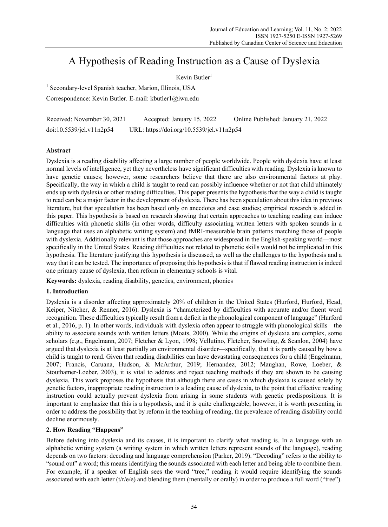# A Hypothesis of Reading Instruction as a Cause of Dyslexia

# Kevin Butler $1$

<sup>1</sup> Secondary-level Spanish teacher, Marion, Illinois, USA

Correspondence: Kevin Butler. E-mail: kbutler1@iwu.edu

Received: November 30, 2021 Accepted: January 15, 2022 Online Published: January 21, 2022 doi:10.5539/jel.v11n2p54 URL: https://doi.org/10.5539/jel.v11n2p54

## **Abstract**

Dyslexia is a reading disability affecting a large number of people worldwide. People with dyslexia have at least normal levels of intelligence, yet they nevertheless have significant difficulties with reading. Dyslexia is known to have genetic causes; however, some researchers believe that there are also environmental factors at play. Specifically, the way in which a child is taught to read can possibly influence whether or not that child ultimately ends up with dyslexia or other reading difficulties. This paper presents the hypothesis that the way a child is taught to read can be a major factor in the development of dyslexia. There has been speculation about this idea in previous literature, but that speculation has been based only on anecdotes and case studies; empirical research is added in this paper. This hypothesis is based on research showing that certain approaches to teaching reading can induce difficulties with phonetic skills (in other words, difficulty associating written letters with spoken sounds in a language that uses an alphabetic writing system) and fMRI-measurable brain patterns matching those of people with dyslexia. Additionally relevant is that those approaches are widespread in the English-speaking world—most specifically in the United States. Reading difficulties not related to phonetic skills would not be implicated in this hypothesis. The literature justifying this hypothesis is discussed, as well as the challenges to the hypothesis and a way that it can be tested. The importance of proposing this hypothesis is that if flawed reading instruction is indeed one primary cause of dyslexia, then reform in elementary schools is vital.

**Keywords:** dyslexia, reading disability, genetics, environment, phonics

## **1. Introduction**

Dyslexia is a disorder affecting approximately 20% of children in the United States (Hurford, Hurford, Head, Keiper, Nitcher, & Renner, 2016). Dyslexia is "characterized by difficulties with accurate and/or fluent word recognition. These difficulties typically result from a deficit in the phonological component of language" (Hurford et al., 2016, p. 1). In other words, individuals with dyslexia often appear to struggle with phonological skills—the ability to associate sounds with written letters (Moats, 2000). While the origins of dyslexia are complex, some scholars (e.g., Engelmann, 2007; Fletcher & Lyon, 1998; Vellutino, Fletcher, Snowling, & Scanlon, 2004) have argued that dyslexia is at least partially an environmental disorder—specifically, that it is partly caused by how a child is taught to read. Given that reading disabilities can have devastating consequences for a child (Engelmann, 2007; Francis, Caruana, Hudson, & McArthur, 2019; Hernandez, 2012; Maughan, Rowe, Loeber, & Stouthamer-Loeber, 2003), it is vital to address and reject teaching methods if they are shown to be causing dyslexia. This work proposes the hypothesis that although there are cases in which dyslexia is caused solely by genetic factors, inappropriate reading instruction is a leading cause of dyslexia, to the point that effective reading instruction could actually prevent dyslexia from arising in some students with genetic predispositions. It is important to emphasize that this is a hypothesis, and it is quite challengeable; however, it is worth presenting in order to address the possibility that by reform in the teaching of reading, the prevalence of reading disability could decline enormously.

## **2. How Reading "Happens"**

Before delving into dyslexia and its causes, it is important to clarify what reading is. In a language with an alphabetic writing system (a writing system in which written letters represent sounds of the language), reading depends on two factors: decoding and language comprehension (Parker, 2019). "Decoding" refers to the ability to "sound out" a word; this means identifying the sounds associated with each letter and being able to combine them. For example, if a speaker of English sees the word "tree," reading it would require identifying the sounds associated with each letter  $(t/r/e)$  and blending them (mentally or orally) in order to produce a full word ("tree").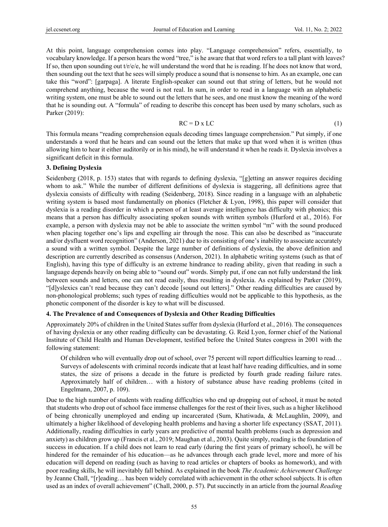At this point, language comprehension comes into play. "Language comprehension" refers, essentially, to vocabulary knowledge. If a person hears the word "tree," is he aware that that word refers to a tall plant with leaves? If so, then upon sounding out  $t/r/e$ , he will understand the word that he is reading. If he does not know that word, then sounding out the text that he sees will simply produce a sound that is nonsense to him. As an example, one can take this "word": [garpaga]. A literate English-speaker can sound out that string of letters, but he would not comprehend anything, because the word is not real. In sum, in order to read in a language with an alphabetic writing system, one must be able to sound out the letters that he sees, and one must know the meaning of the word that he is sounding out. A "formula" of reading to describe this concept has been used by many scholars, such as Parker (2019):

$$
RC = D \times LC \tag{1}
$$

This formula means "reading comprehension equals decoding times language comprehension." Put simply, if one understands a word that he hears and can sound out the letters that make up that word when it is written (thus allowing him to hear it either auditorily or in his mind), he will understand it when he reads it. Dyslexia involves a significant deficit in this formula.

## **3. Defining Dyslexia**

Seidenberg (2018, p. 153) states that with regards to defining dyslexia, "[g]etting an answer requires deciding whom to ask." While the number of different definitions of dyslexia is staggering, all definitions agree that dyslexia consists of difficulty with reading (Seidenberg, 2018). Since reading in a language with an alphabetic writing system is based most fundamentally on phonics (Fletcher & Lyon, 1998), this paper will consider that dyslexia is a reading disorder in which a person of at least average intelligence has difficulty with phonics; this means that a person has difficulty associating spoken sounds with written symbols (Hurford et al., 2016). For example, a person with dyslexia may not be able to associate the written symbol "m" with the sound produced when placing together one's lips and expelling air through the nose. This can also be described as "inaccurate and/or dysfluent word recognition" (Anderson, 2021) due to its consisting of one's inability to associate accurately a sound with a written symbol. Despite the large number of definitions of dyslexia, the above definition and description are currently described as consensus (Anderson, 2021). In alphabetic writing systems (such as that of English), having this type of difficulty is an extreme hindrance to reading ability, given that reading in such a language depends heavily on being able to "sound out" words. Simply put, if one can not fully understand the link between sounds and letters, one can not read easily, thus resulting in dyslexia. As explained by Parker (2019), "[d]yslexics can't read because they can't decode [sound out letters]." Other reading difficulties are caused by non-phonological problems; such types of reading difficulties would not be applicable to this hypothesis, as the phonetic component of the disorder is key to what will be discussed.

## **4. The Prevalence of and Consequences of Dyslexia and Other Reading Difficulties**

Approximately 20% of children in the United States suffer from dyslexia (Hurford et al., 2016). The consequences of having dyslexia or any other reading difficulty can be devastating. G. Reid Lyon, former chief of the National Institute of Child Health and Human Development, testified before the United States congress in 2001 with the following statement:

Of children who will eventually drop out of school, over 75 percent will report difficulties learning to read… Surveys of adolescents with criminal records indicate that at least half have reading difficulties, and in some states, the size of prisons a decade in the future is predicted by fourth grade reading failure rates. Approximately half of children… with a history of substance abuse have reading problems (cited in Engelmann, 2007, p. 109).

Due to the high number of students with reading difficulties who end up dropping out of school, it must be noted that students who drop out of school face immense challenges for the rest of their lives, such as a higher likelihood of being chronically unemployed and ending up incarcerated (Sum, Khatiwada, & McLaughlin, 2009), and ultimately a higher likelihood of developing health problems and having a shorter life expectancy (SSAT, 2011). Additionally, reading difficulties in early years are predictive of mental health problems (such as depression and anxiety) as children grow up (Francis et al., 2019; Maughan et al., 2003). Quite simply, reading is the foundation of success in education. If a child does not learn to read early (during the first years of primary school), he will be hindered for the remainder of his education—as he advances through each grade level, more and more of his education will depend on reading (such as having to read articles or chapters of books as homework), and with poor reading skills, he will inevitably fall behind. As explained in the book *The Academic Achievement Challenge* by Jeanne Chall, "[r]eading… has been widely correlated with achievement in the other school subjects. It is often used as an index of overall achievement" (Chall, 2000, p. 57). Put succinctly in an article from the journal *Reading*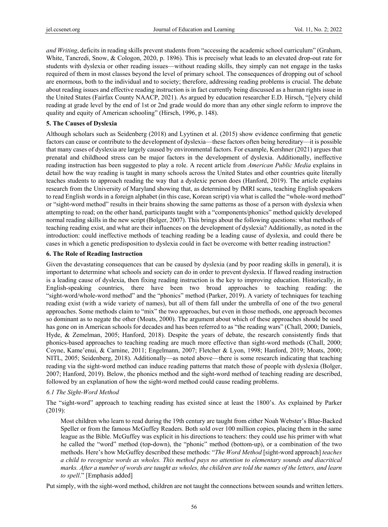*and Writing*, deficits in reading skills prevent students from "accessing the academic school curriculum" (Graham, White, Tancredi, Snow, & Cologon, 2020, p. 1896). This is precisely what leads to an elevated drop-out rate for students with dyslexia or other reading issues—without reading skills, they simply can not engage in the tasks required of them in most classes beyond the level of primary school. The consequences of dropping out of school are enormous, both to the individual and to society; therefore, addressing reading problems is crucial. The debate about reading issues and effective reading instruction is in fact currently being discussed as a human rights issue in the United States (Fairfax County NAACP, 2021). As argued by education researcher E.D. Hirsch, "[e]very child reading at grade level by the end of 1st or 2nd grade would do more than any other single reform to improve the quality and equity of American schooling" (Hirsch, 1996, p. 148).

## **5. The Causes of Dyslexia**

Although scholars such as Seidenberg (2018) and Lyytinen et al. (2015) show evidence confirming that genetic factors can cause or contribute to the development of dyslexia—these factors often being hereditary—it is possible that many cases of dyslexia are largely caused by environmental factors. For example, Kershner (2021) argues that prenatal and childhood stress can be major factors in the development of dyslexia. Additionally, ineffective reading instruction has been suggested to play a role. A recent article from *American Public Media* explains in detail how the way reading is taught in many schools across the United States and other countries quite literally teaches students to approach reading the way that a dyslexic person does (Hanford, 2019). The article explains research from the University of Maryland showing that, as determined by fMRI scans, teaching English speakers to read English words in a foreign alphabet (in this case, Korean script) via what is called the "whole-word method" or "sight-word method" results in their brains showing the same patterns as those of a person with dyslexia when attempting to read; on the other hand, participants taught with a "components/phonics" method quickly developed normal reading skills in the new script (Bolger, 2007). This brings about the following questions: what methods of teaching reading exist, and what are their influences on the development of dyslexia? Additionally, as noted in the introduction: could ineffective methods of teaching reading be a leading cause of dyslexia, and could there be cases in which a genetic predisposition to dyslexia could in fact be overcome with better reading instruction?

#### **6. The Role of Reading Instruction**

Given the devastating consequences that can be caused by dyslexia (and by poor reading skills in general), it is important to determine what schools and society can do in order to prevent dyslexia. If flawed reading instruction is a leading cause of dyslexia, then fixing reading instruction is the key to improving education. Historically, in English-speaking countries, there have been two broad approaches to teaching reading: the "sight-word/whole-word method" and the "phonics" method (Parker, 2019). A variety of techniques for teaching reading exist (with a wide variety of names), but all of them fall under the umbrella of one of the two general approaches. Some methods claim to "mix" the two approaches, but even in those methods, one approach becomes so dominant as to negate the other (Moats, 2000). The argument about which of these approaches should be used has gone on in American schools for decades and has been referred to as "the reading wars" (Chall, 2000; Daniels, Hyde, & Zemelman, 2005; Hanford, 2018). Despite the years of debate, the research consistently finds that phonics-based approaches to teaching reading are much more effective than sight-word methods (Chall, 2000; Coyne, Kame'enui, & Carnine, 2011; Engelmann, 2007; Fletcher & Lyon, 1998; Hanford, 2019; Moats, 2000; NITL, 2005; Seidenberg, 2018). Additionally—as noted above—there is some research indicating that teaching reading via the sight-word method can induce reading patterns that match those of people with dyslexia (Bolger, 2007; Hanford, 2019). Below, the phonics method and the sight-word method of teaching reading are described, followed by an explanation of how the sight-word method could cause reading problems.

#### *6.1 The Sight-Word Method*

The "sight-word" approach to teaching reading has existed since at least the 1800's. As explained by Parker (2019):

Most children who learn to read during the 19th century are taught from either Noah Webster's Blue-Backed Speller or from the famous McGuffey Readers. Both sold over 100 million copies, placing them in the same league as the Bible. McGuffey was explicit in his directions to teachers: they could use his primer with what he called the "word" method (top-down), the "phonic" method (bottom-up), or a combination of the two methods. Here's how McGuffey described these methods: "*The Word Method* [sight-word approach] *teaches a child to recognize words as wholes. This method pays no attention to elementary sounds and diacritical marks. After a number of words are taught as wholes, the children are told the names of the letters, and learn to spell*." [Emphasis added]

Put simply, with the sight-word method, children are not taught the connections between sounds and written letters.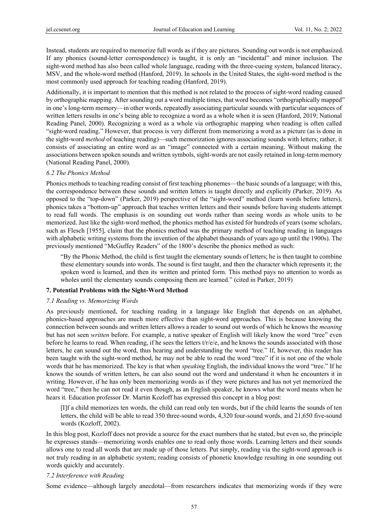Instead, students are required to memorize full words as if they are pictures. Sounding out words is not emphasized. If any phonics (sound-letter correspondence) is taught, it is only an "incidental" and minor inclusion. The sight-word method has also been called whole language, reading with the three-cueing system, balanced literacy, MSV, and the whole-word method (Hanford, 2019). In schools in the United States, the sight-word method is the most commonly used approach for teaching reading (Hanford, 2019).

Additionally, it is important to mention that this method is not related to the process of sight-word reading caused by orthographic mapping. After sounding out a word multiple times, that word becomes "orthographically mapped" in one's long-term memory—in other words, repeatedly associating particular sounds with particular sequences of written letters results in one's being able to recognize a word as a whole when it is seen (Hanford, 2019; National Reading Panel, 2000). Recognizing a word as a whole via orthographic mapping when reading is often called "sight-word reading." However, that process is very different from memorizing a word as a picture (as is done in the sight-word *method* of teaching reading)—such memorization ignores associating sounds with letters; rather, it consists of associating an entire word as an "image" connected with a certain meaning. Without making the associations between spoken sounds and written symbols, sight-words are not easily retained in long-term memory (National Reading Panel, 2000).

#### *6.2 The Phonics Method*

Phonics methods to teaching reading consist of first teaching phonemes—the basic sounds of a language; with this, the correspondence between these sounds and written letters is taught directly and explicitly (Parker, 2019). As opposed to the "top-down" (Parker, 2019) perspective of the "sight-word" method (learn words before letters), phonics takes a "bottom-up" approach that teaches written letters and their sounds before having students attempt to read full words. The emphasis is on sounding out words rather than seeing words as whole units to be memorized. Just like the sight-word method, the phonics method has existed for hundreds of years (some scholars, such as Flesch [1955], claim that the phonics method was the primary method of teaching reading in languages with alphabetic writing systems from the invention of the alphabet thousands of years ago up until the 1900s). The previously mentioned "McGuffey Readers" of the 1800's describe the phonics method as such:

"By the Phonic Method, the child is first taught the elementary sounds of letters; he is then taught to combine these elementary sounds into words. The sound is first taught, and then the character which represents it; the spoken word is learned, and then its written and printed form. This method pays no attention to words as wholes until the elementary sounds composing them are learned." (cited in Parker, 2019)

#### **7. Potential Problems with the Sight-Word Method**

#### *7.1 Reading vs. Memorizing Words*

As previously mentioned, for teaching reading in a language like English that depends on an alphabet, phonics-based approaches are much more effective than sight-word approaches. This is because knowing the connection between sounds and written letters allows a reader to sound out words of which he knows the *meaning* but has not seen *written* before. For example, a native speaker of English will likely know the word "tree" even before he learns to read. When reading, if he sees the letters  $tr/e/e$ , and he knows the sounds associated with those letters, he can sound out the word, thus hearing and understanding the word "tree." If, however, this reader has been taught with the sight-word method, he may not be able to read the word "tree" if it is not one of the whole words that he has memorized. The key is that when *speaking* English, the individual knows the word "tree." If he knows the sounds of written letters, he can also sound out the word and understand it when he encounters it in writing. However, if he has only been memorizing words as if they were pictures and has not yet memorized the word "tree," then he can not read it even though, as an English speaker, he knows what the word means when he hears it. Education professor Dr. Martin Kozloff has expressed this concept in a blog post:

[I]f a child memorizes ten words, the child can read only ten words, but if the child learns the sounds of ten letters, the child will be able to read 350 three-sound words, 4,320 four-sound words, and 21,650 five-sound words (Kozloff, 2002).

In this blog post, Kozloff does not provide a source for the exact numbers that he stated, but even so, the principle he expresses stands—memorizing words enables one to read only those words. Learning letters and their sounds allows one to read all words that are made up of those letters. Put simply, reading via the sight-word approach is not truly reading in an alphabetic system; reading consists of phonetic knowledge resulting in one sounding out words quickly and accurately.

#### *7.2 Interference with Reading*

Some evidence—although largely anecdotal—from researchers indicates that memorizing words if they were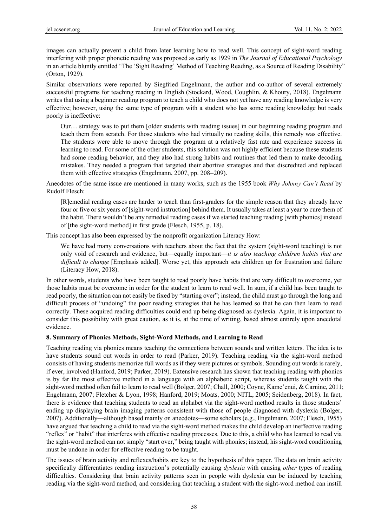images can actually prevent a child from later learning how to read well. This concept of sight-word reading interfering with proper phonetic reading was proposed as early as 1929 in *The Journal of Educational Psychology* in an article bluntly entitled "The 'Sight Reading' Method of Teaching Reading, as a Source of Reading Disability" (Orton, 1929).

Similar observations were reported by Siegfried Engelmann, the author and co-author of several extremely successful programs for teaching reading in English (Stockard, Wood, Coughlin, & Khoury, 2018). Engelmann writes that using a beginner reading program to teach a child who does not yet have any reading knowledge is very effective; however, using the same type of program with a student who has some reading knowledge but reads poorly is ineffective:

Our… strategy was to put them [older students with reading issues] in our beginning reading program and teach them from scratch. For those students who had virtually no reading skills, this remedy was effective. The students were able to move through the program at a relatively fast rate and experience success in learning to read. For some of the other students, this solution was not highly efficient because these students had some reading behavior, and they also had strong habits and routines that led them to make decoding mistakes. They needed a program that targeted their abortive strategies and that discredited and replaced them with effective strategies (Engelmann, 2007, pp. 208−209).

Anecdotes of the same issue are mentioned in many works, such as the 1955 book *Why Johnny Can't Read* by Rudolf Flesch:

[R]emedial reading cases are harder to teach than first-graders for the simple reason that they already have four or five or six years of [sight-word instruction] behind them. It usually takes at least a year to cure them of the habit. There wouldn't be any remedial reading cases if we started teaching reading [with phonics] instead of [the sight-word method] in first grade (Flesch, 1955, p. 18).

This concept has also been expressed by the nonprofit organization Literacy How:

We have had many conversations with teachers about the fact that the system (sight-word teaching) is not only void of research and evidence, but—equally important—*it is also teaching children habits that are difficult to change* [Emphasis added]. Worse yet, this approach sets children up for frustration and failure (Literacy How, 2018).

In other words, students who have been taught to read poorly have habits that are very difficult to overcome, yet those habits must be overcome in order for the student to learn to read well. In sum, if a child has been taught to read poorly, the situation can not easily be fixed by "starting over"; instead, the child must go through the long and difficult process of "undoing" the poor reading strategies that he has learned so that he can then learn to read correctly. These acquired reading difficulties could end up being diagnosed as dyslexia. Again, it is important to consider this possibility with great caution, as it is, at the time of writing, based almost entirely upon anecdotal evidence.

#### **8. Summary of Phonics Methods, Sight-Word Methods, and Learning to Read**

Teaching reading via phonics means teaching the connections between sounds and written letters. The idea is to have students sound out words in order to read (Parker, 2019). Teaching reading via the sight-word method consists of having students memorize full words as if they were pictures or symbols. Sounding out words is rarely, if ever, involved (Hanford, 2019; Parker, 2019). Extensive research has shown that teaching reading with phonics is by far the most effective method in a language with an alphabetic script, whereas students taught with the sight-word method often fail to learn to read well (Bolger, 2007; Chall, 2000; Coyne, Kame'enui, & Carnine, 2011; Engelmann, 2007; Fletcher & Lyon, 1998; Hanford, 2019; Moats, 2000; NITL, 2005; Seidenberg, 2018). In fact, there is evidence that teaching students to read an alphabet via the sight-word method results in those students' ending up displaying brain imaging patterns consistent with those of people diagnosed with dyslexia (Bolger, 2007). Additionally—although based mainly on anecdotes—some scholars (e.g., Engelmann, 2007; Flesch, 1955) have argued that teaching a child to read via the sight-word method makes the child develop an ineffective reading "reflex" or "habit" that interferes with effective reading processes. Due to this, a child who has learned to read via the sight-word method can not simply "start over," being taught with phonics; instead, his sight-word conditioning must be undone in order for effective reading to be taught.

The issues of brain activity and reflexes/habits are key to the hypothesis of this paper. The data on brain activity specifically differentiates reading instruction's potentially causing *dyslexia* with causing *other* types of reading difficulties. Considering that brain activity patterns seen in people with dyslexia can be induced by teaching reading via the sight-word method, and considering that teaching a student with the sight-word method can instill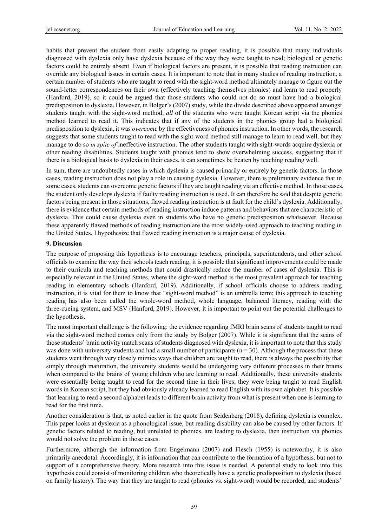habits that prevent the student from easily adapting to proper reading, it is possible that many individuals diagnosed with dyslexia only have dyslexia because of the way they were taught to read; biological or genetic factors could be entirely absent. Even if biological factors are present, it is possible that reading instruction can override any biological issues in certain cases. It is important to note that in many studies of reading instruction, a certain number of students who are taught to read with the sight-word method ultimately manage to figure out the sound-letter correspondences on their own (effectively teaching themselves phonics) and learn to read properly (Hanford, 2019), so it could be argued that those students who could not do so must have had a biological predisposition to dyslexia. However, in Bolger's (2007) study, while the divide described above appeared amongst students taught with the sight-word method, *all* of the students who were taught Korean script via the phonics method learned to read it. This indicates that if any of the students in the phonics group had a biological predisposition to dyslexia, it was *overcome* by the effectiveness of phonics instruction. In other words, the research suggests that some students taught to read with the sight-word method still manage to learn to read well, but they manage to do so *in spite of* ineffective instruction. The other students taught with sight-words acquire dyslexia or other reading disabilities. Students taught with phonics tend to show overwhelming success, suggesting that if there is a biological basis to dyslexia in their cases, it can sometimes be beaten by teaching reading well.

In sum, there are undoubtedly cases in which dyslexia is caused primarily or entirely by genetic factors. In those cases, reading instruction does not play a role in causing dyslexia. However, there is preliminary evidence that in some cases, students can overcome genetic factors if they are taught reading via an effective method. In those cases, the student only develops dyslexia if faulty reading instruction is used. It can therefore be said that despite genetic factors being present in those situations, flawed reading instruction is at fault for the child's dyslexia. Additionally, there is evidence that certain methods of reading instruction induce patterns and behaviors that are characteristic of dyslexia. This could cause dyslexia even in students who have no genetic predisposition whatsoever. Because these apparently flawed methods of reading instruction are the most widely-used approach to teaching reading in the United States, I hypothesize that flawed reading instruction is a major cause of dyslexia.

#### **9. Discussion**

The purpose of proposing this hypothesis is to encourage teachers, principals, superintendents, and other school officials to examine the way their schools teach reading; it is possible that significant improvements could be made to their curricula and teaching methods that could drastically reduce the number of cases of dyslexia. This is especially relevant in the United States, where the sight-word method is the most prevalent approach for teaching reading in elementary schools (Hanford, 2019). Additionally, if school officials choose to address reading instruction, it is vital for them to know that "sight-word method" is an umbrella term; this approach to teaching reading has also been called the whole-word method, whole language, balanced literacy, reading with the three-cueing system, and MSV (Hanford, 2019). However, it is important to point out the potential challenges to the hypothesis.

The most important challenge is the following: the evidence regarding fMRI brain scans of students taught to read via the sight-word method comes only from the study by Bolger (2007). While it is significant that the scans of those students' brain activity match scans of students diagnosed with dyslexia, it is important to note that this study was done with university students and had a small number of participants  $(n = 30)$ . Although the process that these students went through very closely mimics ways that children are taught to read, there is always the possibility that simply through maturation, the university students would be undergoing very different processes in their brains when compared to the brains of young children who are learning to read. Additionally, these university students were essentially being taught to read for the second time in their lives; they were being taught to read English words in Korean script, but they had obviously already learned to read English with its own alphabet. It is possible that learning to read a second alphabet leads to different brain activity from what is present when one is learning to read for the first time.

Another consideration is that, as noted earlier in the quote from Seidenberg (2018), defining dyslexia is complex. This paper looks at dyslexia as a phonological issue, but reading disability can also be caused by other factors. If genetic factors related to reading, but unrelated to phonics, are leading to dyslexia, then instruction via phonics would not solve the problem in those cases.

Furthermore, although the information from Engelmann (2007) and Flesch (1955) is noteworthy, it is also primarily anecdotal. Accordingly, it is information that can contribute to the formation of a hypothesis, but not to support of a comprehensive theory. More research into this issue is needed. A potential study to look into this hypothesis could consist of monitoring children who theoretically have a genetic predisposition to dyslexia (based on family history). The way that they are taught to read (phonics vs. sight-word) would be recorded, and students'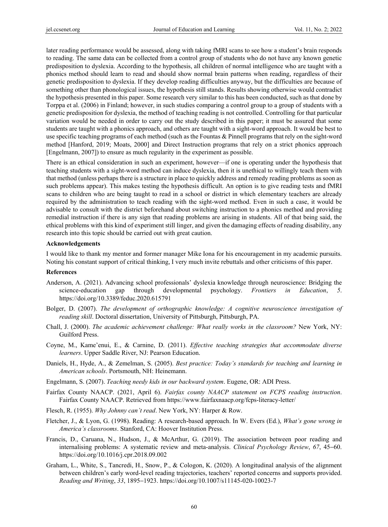later reading performance would be assessed, along with taking fMRI scans to see how a student's brain responds to reading. The same data can be collected from a control group of students who do not have any known genetic predisposition to dyslexia. According to the hypothesis, all children of normal intelligence who are taught with a phonics method should learn to read and should show normal brain patterns when reading, regardless of their genetic predisposition to dyslexia. If they develop reading difficulties anyway, but the difficulties are because of something other than phonological issues, the hypothesis still stands. Results showing otherwise would contradict the hypothesis presented in this paper. Some research very similar to this has been conducted, such as that done by Torppa et al. (2006) in Finland; however, in such studies comparing a control group to a group of students with a genetic predisposition for dyslexia, the method of teaching reading is not controlled. Controlling for that particular variation would be needed in order to carry out the study described in this paper; it must be assured that some students are taught with a phonics approach, and others are taught with a sight-word approach. It would be best to use specific teaching programs of each method (such as the Fountas & Pinnell programs that rely on the sight-word method [Hanford, 2019; Moats, 2000] and Direct Instruction programs that rely on a strict phonics approach [Engelmann, 2007]) to ensure as much regularity in the experiment as possible.

There is an ethical consideration in such an experiment, however—if one is operating under the hypothesis that teaching students with a sight-word method can induce dyslexia, then it is unethical to willingly teach them with that method (unless perhaps there is a structure in place to quickly address and remedy reading problems as soon as such problems appear). This makes testing the hypothesis difficult. An option is to give reading tests and fMRI scans to children who are being taught to read in a school or district in which elementary teachers are already required by the administration to teach reading with the sight-word method. Even in such a case, it would be advisable to consult with the district beforehand about switching instruction to a phonics method and providing remedial instruction if there is any sign that reading problems are arising in students. All of that being said, the ethical problems with this kind of experiment still linger, and given the damaging effects of reading disability, any research into this topic should be carried out with great caution.

#### **Acknowledgements**

I would like to thank my mentor and former manager Mike Iona for his encouragement in my academic pursuits. Noting his constant support of critical thinking, I very much invite rebuttals and other criticisms of this paper.

#### **References**

- Anderson, A. (2021). Advancing school professionals' dyslexia knowledge through neuroscience: Bridging the science-education gap through developmental psychology. *Frontiers in Education*, *5*. https://doi.org/10.3389/feduc.2020.615791
- Bolger, D. (2007). *The development of orthographic knowledge: A cognitive neuroscience investigation of reading skill*. Doctoral dissertation, University of Pittsburgh, Pittsburgh, PA.
- Chall, J. (2000). *The academic achievement challenge: What really works in the classroom?* New York, NY: Guilford Press.
- Coyne, M., Kame'enui, E., & Carnine, D. (2011). *Effective teaching strategies that accommodate diverse learners*. Upper Saddle River, NJ: Pearson Education.
- Daniels, H., Hyde, A., & Zemelman, S. (2005). *Best practice: Today's standards for teaching and learning in American schools*. Portsmouth, NH: Heinemann.
- Engelmann, S. (2007). *Teaching needy kids in our backward system*. Eugene, OR: ADI Press.
- Fairfax County NAACP. (2021, April 6). *Fairfax county NAACP statement on FCPS reading instruction*. Fairfax County NAACP. Retrieved from https://www.fairfaxnaacp.org/fcps-literacy-letter/
- Flesch, R. (1955). *Why Johnny can't read*. New York, NY: Harper & Row.
- Fletcher, J., & Lyon, G. (1998). Reading: A research-based approach. In W. Evers (Ed.), *What's gone wrong in America's classrooms*. Stanford, CA: Hoover Institution Press.
- Francis, D., Caruana, N., Hudson, J., & McArthur, G. (2019). The association between poor reading and internalising problems: A systematic review and meta-analysis. *Clinical Psychology Review*, *67*, 45−60. https://doi.org/10.1016/j.cpr.2018.09.002
- Graham, L., White, S., Tancredi, H., Snow, P., & Cologon, K. (2020). A longitudinal analysis of the alignment between children's early word-level reading trajectories, teachers' reported concerns and supports provided. *Reading and Writing*, *33*, 1895−1923. https://doi.org/10.1007/s11145-020-10023-7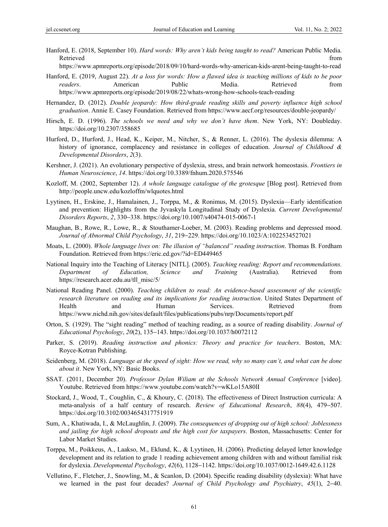Hanford, E. (2018, September 10). *Hard words: Why aren't kids being taught to read?* American Public Media. Retrieved that the contract of the contract of the contract of the contract of the contract of the contract of the contract of the contract of the contract of the contract of the contract of the contract of the contract of

https://www.apmreports.org/episode/2018/09/10/hard-words-why-american-kids-arent-being-taught-to-read

- Hanford, E. (2019, August 22). *At a loss for words: How a flawed idea is teaching millions of kids to be poor readers*. American Public Media. Retrieved from https://www.apmreports.org/episode/2019/08/22/whats-wrong-how-schools-teach-reading
- Hernandez, D. (2012). *Double jeopardy: How third-grade reading skills and poverty influence high school graduation*. Annie E. Casey Foundation. Retrieved from https://www.aecf.org/resources/double-jeopardy/
- Hirsch, E. D. (1996). *The schools we need and why we don't have them*. New York, NY: Doubleday. https://doi.org/10.2307/358685
- Hurford, D., Hurford, J., Head, K., Keiper, M., Nitcher, S., & Renner, L. (2016). The dyslexia dilemma: A history of ignorance, complacency and resistance in colleges of education. *Journal of Childhood & Developmental Disorders*, *2*(3).
- Kershner, J. (2021). An evolutionary perspective of dyslexia, stress, and brain network homeostasis. *Frontiers in Human Neuroscience*, *14*. https://doi.org/10.3389/fnhum.2020.575546
- Kozloff, M. (2002, September 12). *A whole language catalogue of the grotesque* [Blog post]. Retrieved from http://people.uncw.edu/kozloffm/wlquotes.html
- Lyytinen, H., Erskine, J., Hamalainen, J., Torppa, M., & Ronimus, M. (2015). Dyslexia—Early identification and prevention: Highlights from the Jyvaskyla Longitudinal Study of Dyslexia. *Current Developmental Disorders Reports*, *2*, 330−338. https://doi.org/10.1007/s40474-015-0067-1
- Maughan, B., Rowe, R., Lowe, R., & Stouthamer-Loeber, M. (2003). Reading problems and depressed mood. *Journal of Abnormal Child Psychology*, *31*, 219−229. https://doi.org/10.1023/A:1022534527021
- Moats, L. (2000). *Whole language lives on: The illusion of "balanced" reading instruction*. Thomas B. Fordham Foundation. Retrieved from https://eric.ed.gov/?id=ED449465
- National Inquiry into the Teaching of Literacy [NITL]. (2005). *Teaching reading: Report and recommendations. Department of Education, Science and Training* (Australia). Retrieved from https://research.acer.edu.au/tll\_misc/5/
- National Reading Panel. (2000). *Teaching children to read: An evidence-based assessment of the scientific research literature on reading and its implications for reading instruction*. United States Department of Health and Human Services. Retrieved from https://www.nichd.nih.gov/sites/default/files/publications/pubs/nrp/Documents/report.pdf
- Orton, S. (1929). The "sight reading" method of teaching reading, as a source of reading disability. *Journal of Educational Psychology*, *20*(2), 135−143. https://doi.org/10.1037/h0072112
- Parker, S. (2019). *Reading instruction and phonics: Theory and practice for teachers*. Boston, MA: Royce-Kotran Publishing.
- Seidenberg, M. (2018). *Language at the speed of sight: How we read, why so many can't, and what can be done about it*. New York, NY: Basic Books.
- SSAT. (2011, December 20). *Professor Dylan Wiliam at the Schools Network Annual Conference* [video]. Youtube. Retrieved from https://www.youtube.com/watch?v=wKLo15A80lI
- Stockard, J., Wood, T., Coughlin, C., & Khoury, C. (2018). The effectiveness of Direct Instruction curricula: A meta-analysis of a half century of research. *Review of Educational Research*, *88*(4), 479−507. https://doi.org/10.3102/0034654317751919
- Sum, A., Khatiwada, I., & McLaughlin, J. (2009). *The consequences of dropping out of high school: Joblessness and jailing for high school dropouts and the high cost for taxpayers*. Boston, Massachusetts: Center for Labor Market Studies.
- Torppa, M., Poikkeus, A., Laakso, M., Eklund, K., & Lyytinen, H. (2006). Predicting delayed letter knowledge development and its relation to grade 1 reading achievement among children with and without familial risk for dyslexia. *Developmental Psychology*, *42*(6), 1128−1142. https://doi.org/10.1037/0012-1649.42.6.1128
- Vellutino, F., Fletcher, J., Snowling, M., & Scanlon, D. (2004). Specific reading disability (dyslexia): What have we learned in the past four decades? *Journal of Child Psychology and Psychiatry*, *45*(1), 2−40.